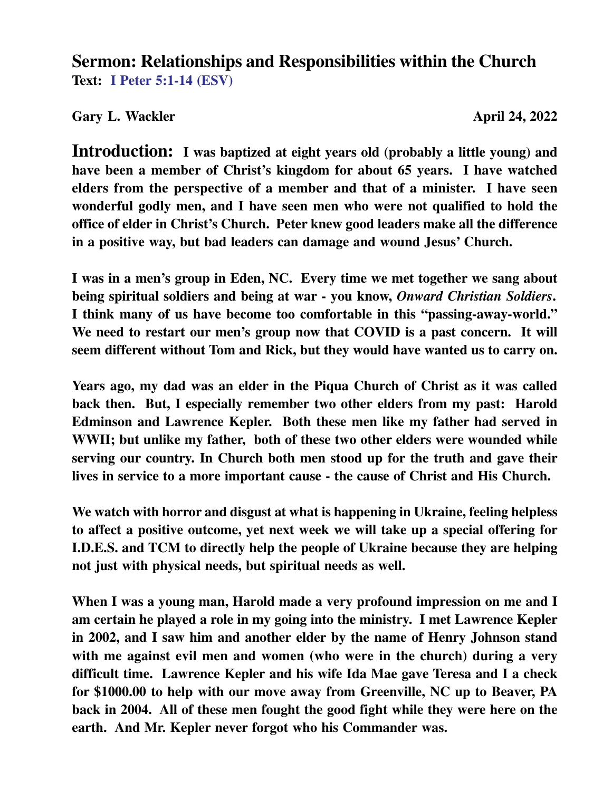#### **Sermon: Relationships and Responsibilities within the Church Text: I Peter 5:1-14 (ESV)**

#### Gary L. Wackler **April 24, 2022**

**Introduction: I was baptized at eight years old (probably a little young) and have been a member of Christ's kingdom for about 65 years. I have watched elders from the perspective of a member and that of a minister. I have seen wonderful godly men, and I have seen men who were not qualified to hold the office of elder in Christ's Church. Peter knew good leaders make all the difference in a positive way, but bad leaders can damage and wound Jesus' Church.**

**I was in a men's group in Eden, NC. Every time we met together we sang about being spiritual soldiers and being at war - you know,** *Onward Christian Soldiers***. I think many of us have become too comfortable in this "passing-away-world." We need to restart our men's group now that COVID is a past concern. It will seem different without Tom and Rick, but they would have wanted us to carry on.**

**Years ago, my dad was an elder in the Piqua Church of Christ as it was called back then. But, I especially remember two other elders from my past: Harold Edminson and Lawrence Kepler. Both these men like my father had served in WWII; but unlike my father, both of these two other elders were wounded while serving our country. In Church both men stood up for the truth and gave their lives in service to a more important cause - the cause of Christ and His Church.**

**We watch with horror and disgust at what is happening in Ukraine, feeling helpless to affect a positive outcome, yet next week we will take up a special offering for I.D.E.S. and TCM to directly help the people of Ukraine because they are helping not just with physical needs, but spiritual needs as well.**

**When I was a young man, Harold made a very profound impression on me and I am certain he played a role in my going into the ministry. I met Lawrence Kepler in 2002, and I saw him and another elder by the name of Henry Johnson stand with me against evil men and women (who were in the church) during a very difficult time. Lawrence Kepler and his wife Ida Mae gave Teresa and I a check for \$1000.00 to help with our move away from Greenville, NC up to Beaver, PA back in 2004. All of these men fought the good fight while they were here on the earth. And Mr. Kepler never forgot who his Commander was.**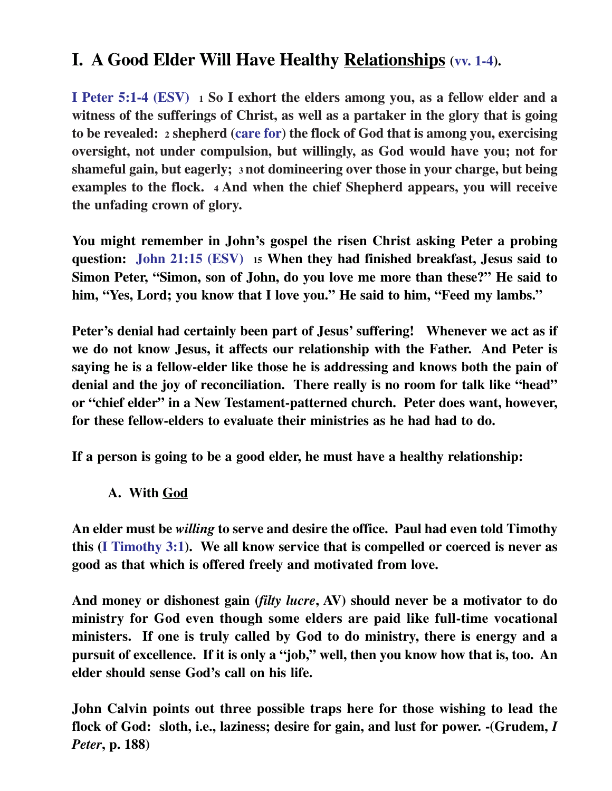## **I. A Good Elder Will Have Healthy Relationships (vv. 1-4).**

**I Peter 5:1-4 (ESV) 1 So I exhort the elders among you, as a fellow elder and a witness of the sufferings of Christ, as well as a partaker in the glory that is going to be revealed: 2 shepherd (care for) the flock of God that is among you, exercising oversight, not under compulsion, but willingly, as God would have you; not for shameful gain, but eagerly; 3 not domineering over those in your charge, but being examples to the flock. 4 And when the chief Shepherd appears, you will receive the unfading crown of glory.**

**You might remember in John's gospel the risen Christ asking Peter a probing question: John 21:15 (ESV) 15 When they had finished breakfast, Jesus said to Simon Peter, "Simon, son of John, do you love me more than these?" He said to him, "Yes, Lord; you know that I love you." He said to him, "Feed my lambs."**

**Peter's denial had certainly been part of Jesus' suffering! Whenever we act as if we do not know Jesus, it affects our relationship with the Father. And Peter is saying he is a fellow-elder like those he is addressing and knows both the pain of denial and the joy of reconciliation. There really is no room for talk like "head" or "chief elder" in a New Testament-patterned church. Peter does want, however, for these fellow-elders to evaluate their ministries as he had had to do.**

**If a person is going to be a good elder, he must have a healthy relationship:**

**A. With God**

**An elder must be** *willing* **to serve and desire the office. Paul had even told Timothy this (I Timothy 3:1). We all know service that is compelled or coerced is never as good as that which is offered freely and motivated from love.**

**And money or dishonest gain (***filty lucre***, AV) should never be a motivator to do ministry for God even though some elders are paid like full-time vocational ministers. If one is truly called by God to do ministry, there is energy and a pursuit of excellence. If it is only a "job," well, then you know how that is, too. An elder should sense God's call on his life.**

**John Calvin points out three possible traps here for those wishing to lead the flock of God: sloth, i.e., laziness; desire for gain, and lust for power. -(Grudem,** *I Peter***, p. 188)**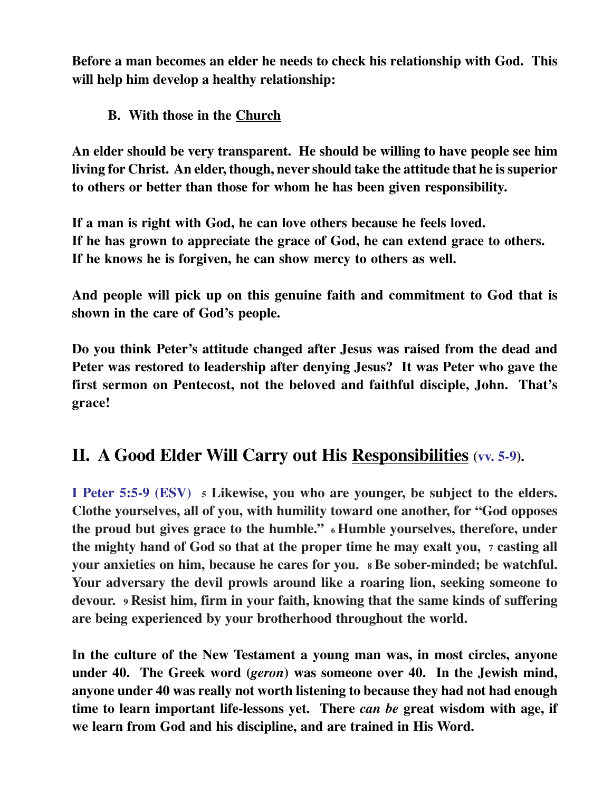**Before a man becomes an elder he needs to check his relationship with God. This will help him develop a healthy relationship:**

**B. With those in the Church**

**An elder should be very transparent. He should be willing to have people see him living for Christ. An elder, though, never should take the attitude that he is superior to others or better than those for whom he has been given responsibility.**

**If a man is right with God, he can love others because he feels loved. If he has grown to appreciate the grace of God, he can extend grace to others. If he knows he is forgiven, he can show mercy to others as well.**

**And people will pick up on this genuine faith and commitment to God that is shown in the care of God's people.**

**Do you think Peter's attitude changed after Jesus was raised from the dead and Peter was restored to leadership after denying Jesus? It was Peter who gave the first sermon on Pentecost, not the beloved and faithful disciple, John. That's grace!**

## **II. A Good Elder Will Carry out His Responsibilities (vv. 5-9).**

**I Peter 5:5-9 (ESV) 5 Likewise, you who are younger, be subject to the elders. Clothe yourselves, all of you, with humility toward one another, for "God opposes the proud but gives grace to the humble." 6 Humble yourselves, therefore, under the mighty hand of God so that at the proper time he may exalt you, 7 casting all your anxieties on him, because he cares for you. 8 Be sober-minded; be watchful. Your adversary the devil prowls around like a roaring lion, seeking someone to devour. 9 Resist him, firm in your faith, knowing that the same kinds of suffering are being experienced by your brotherhood throughout the world.**

**In the culture of the New Testament a young man was, in most circles, anyone under 40. The Greek word (***geron***) was someone over 40. In the Jewish mind, anyone under 40 was really not worth listening to because they had not had enough time to learn important life-lessons yet. There** *can be* **great wisdom with age, if we learn from God and his discipline, and are trained in His Word.**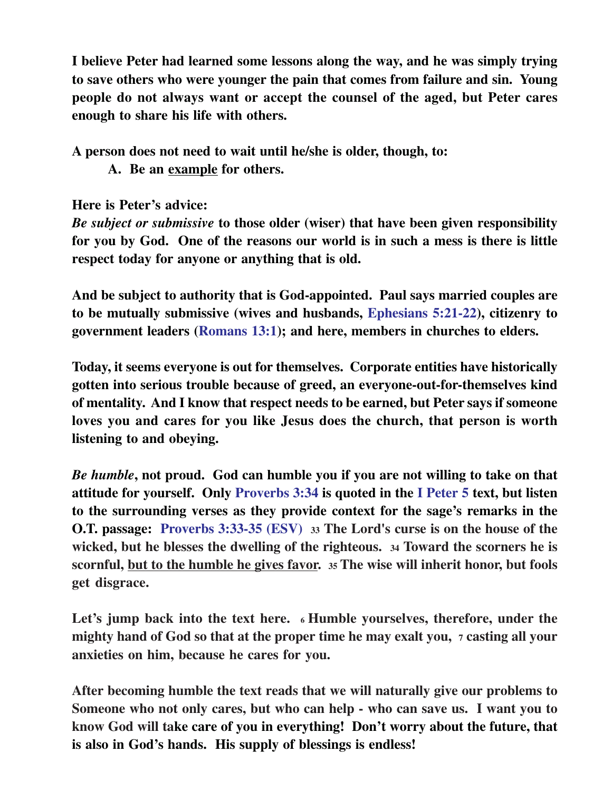**I believe Peter had learned some lessons along the way, and he was simply trying to save others who were younger the pain that comes from failure and sin. Young people do not always want or accept the counsel of the aged, but Peter cares enough to share his life with others.**

**A person does not need to wait until he/she is older, though, to:**

**A. Be an example for others.**

**Here is Peter's advice:**

*Be subject or submissive* **to those older (wiser) that have been given responsibility for you by God. One of the reasons our world is in such a mess is there is little respect today for anyone or anything that is old.**

**And be subject to authority that is God-appointed. Paul says married couples are to be mutually submissive (wives and husbands, Ephesians 5:21-22), citizenry to government leaders (Romans 13:1); and here, members in churches to elders.**

**Today, it seems everyone is out for themselves. Corporate entities have historically gotten into serious trouble because of greed, an everyone-out-for-themselves kind of mentality. And I know that respect needs to be earned, but Peter says if someone loves you and cares for you like Jesus does the church, that person is worth listening to and obeying.**

*Be humble***, not proud. God can humble you if you are not willing to take on that attitude for yourself. Only Proverbs 3:34 is quoted in the I Peter 5 text, but listen to the surrounding verses as they provide context for the sage's remarks in the O.T. passage: Proverbs 3:33-35 (ESV) <sup>33</sup> The Lord's curse is on the house of the wicked, but he blesses the dwelling of the righteous. 34 Toward the scorners he is scornful, but to the humble he gives favor. 35 The wise will inherit honor, but fools get disgrace.**

**Let's jump back into the text here. 6 Humble yourselves, therefore, under the mighty hand of God so that at the proper time he may exalt you, 7 casting all your anxieties on him, because he cares for you.**

**After becoming humble the text reads that we will naturally give our problems to Someone who not only cares, but who can help - who can save us. I want you to know God will take care of you in everything! Don't worry about the future, that is also in God's hands. His supply of blessings is endless!**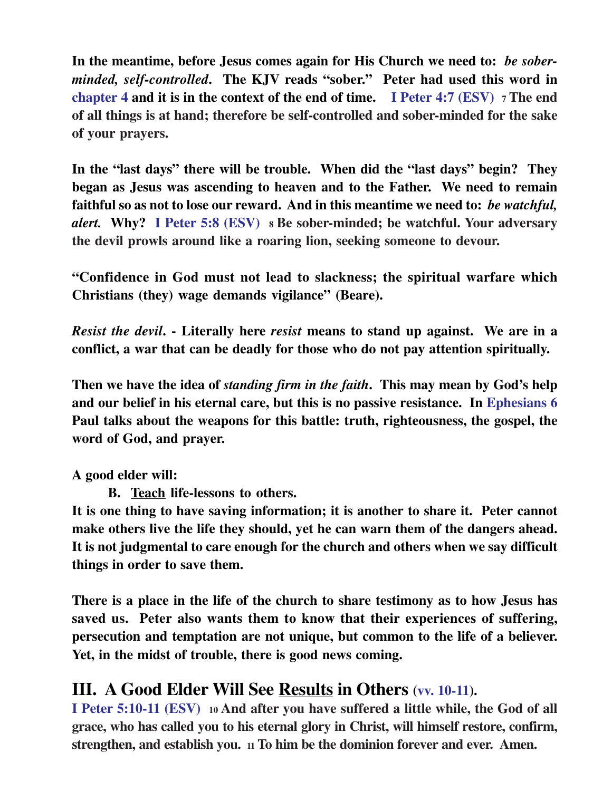**In the meantime, before Jesus comes again for His Church we need to:** *be soberminded, self-controlled***. The KJV reads "sober." Peter had used this word in chapter 4 and it is in the context of the end of time. I Peter 4:7 (ESV) 7 The end of all things is at hand; therefore be self-controlled and sober-minded for the sake of your prayers.**

**In the "last days" there will be trouble. When did the "last days" begin? They began as Jesus was ascending to heaven and to the Father. We need to remain faithful so as not to lose our reward. And in this meantime we need to:** *be watchful, alert.* **Why? I Peter 5:8 (ESV) 8 Be sober-minded; be watchful. Your adversary the devil prowls around like a roaring lion, seeking someone to devour.**

**"Confidence in God must not lead to slackness; the spiritual warfare which Christians (they) wage demands vigilance" (Beare).**

*Resist the devil***. - Literally here** *resist* **means to stand up against. We are in a conflict, a war that can be deadly for those who do not pay attention spiritually.**

**Then we have the idea of** *standing firm in the faith***. This may mean by God's help and our belief in his eternal care, but this is no passive resistance. In Ephesians 6 Paul talks about the weapons for this battle: truth, righteousness, the gospel, the word of God, and prayer.**

**A good elder will:**

**B. Teach life-lessons to others.**

**It is one thing to have saving information; it is another to share it. Peter cannot make others live the life they should, yet he can warn them of the dangers ahead. It is not judgmental to care enough for the church and others when we say difficult things in order to save them.**

**There is a place in the life of the church to share testimony as to how Jesus has saved us. Peter also wants them to know that their experiences of suffering, persecution and temptation are not unique, but common to the life of a believer. Yet, in the midst of trouble, there is good news coming.**

#### **III. A Good Elder Will See Results in Others (vv. 10-11).**

**I Peter 5:10-11 (ESV) 10 And after you have suffered a little while, the God of all grace, who has called you to his eternal glory in Christ, will himself restore, confirm, strengthen, and establish you. 11 To him be the dominion forever and ever. Amen.**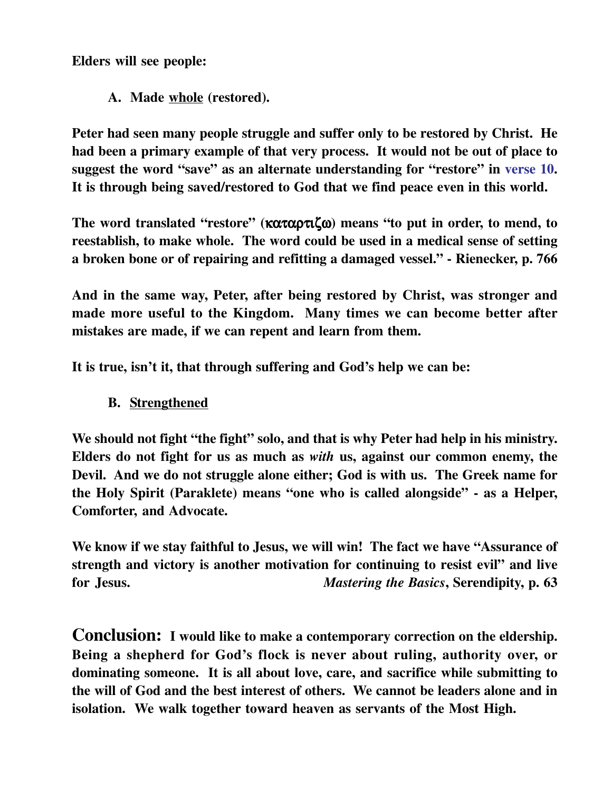**Elders will see people:**

**A. Made whole (restored).**

**Peter had seen many people struggle and suffer only to be restored by Christ. He had been a primary example of that very process. It would not be out of place to suggest the word "save" as an alternate understanding for "restore" in verse 10. It is through being saved/restored to God that we find peace even in this world.**

**The word translated "restore" (**καταρτιζω**) means "to put in order, to mend, to reestablish, to make whole. The word could be used in a medical sense of setting a broken bone or of repairing and refitting a damaged vessel." - Rienecker, p. 766**

**And in the same way, Peter, after being restored by Christ, was stronger and made more useful to the Kingdom. Many times we can become better after mistakes are made, if we can repent and learn from them.**

**It is true, isn't it, that through suffering and God's help we can be:**

**B. Strengthened**

We should not fight "the fight" solo, and that is why Peter had help in his ministry. **Elders do not fight for us as much as** *with* **us, against our common enemy, the Devil. And we do not struggle alone either; God is with us. The Greek name for the Holy Spirit (Paraklete) means "one who is called alongside" - as a Helper, Comforter, and Advocate.**

**We know if we stay faithful to Jesus, we will win! The fact we have "Assurance of strength and victory is another motivation for continuing to resist evil" and live for Jesus.** *Mastering the Basics***, Serendipity, p. 63**

**Conclusion: I would like to make a contemporary correction on the eldership. Being a shepherd for God's flock is never about ruling, authority over, or dominating someone. It is all about love, care, and sacrifice while submitting to the will of God and the best interest of others. We cannot be leaders alone and in isolation. We walk together toward heaven as servants of the Most High.**